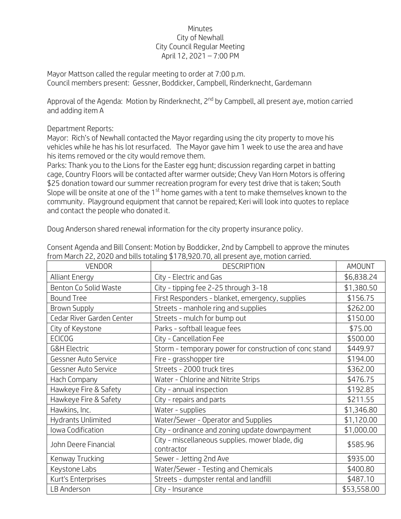## Minutes City of Newhall City Council Regular Meeting April 12, 2021 – 7:00 PM

Mayor Mattson called the regular meeting to order at 7:00 p.m. Council members present: Gessner, Boddicker, Campbell, Rinderknecht, Gardemann

Approval of the Agenda: Motion by Rinderknecht, 2<sup>nd</sup> by Campbell, all present aye, motion carried and adding item A

## Department Reports:

Mayor: Rich's of Newhall contacted the Mayor regarding using the city property to move his vehicles while he has his lot resurfaced. The Mayor gave him 1 week to use the area and have his items removed or the city would remove them.

Parks: Thank you to the Lions for the Easter egg hunt; discussion regarding carpet in batting cage, Country Floors will be contacted after warmer outside; Chevy Van Horn Motors is offering \$25 donation toward our summer recreation program for every test drive that is taken; South Slope will be onsite at one of the 1<sup>st</sup> home games with a tent to make themselves known to the community. Playground equipment that cannot be repaired; Keri will look into quotes to replace and contact the people who donated it.

Doug Anderson shared renewal information for the city property insurance policy.

| <b>VENDOR</b>             | <b>DESCRIPTION</b>                                            | AMOUNT      |
|---------------------------|---------------------------------------------------------------|-------------|
| <b>Alliant Energy</b>     | City - Electric and Gas                                       | \$6,838.24  |
| Benton Co Solid Waste     | City - tipping fee 2-25 through 3-18                          | \$1,380.50  |
| <b>Bound Tree</b>         | First Responders - blanket, emergency, supplies               | \$156.75    |
| <b>Brown Supply</b>       | Streets - manhole ring and supplies                           | \$262.00    |
| Cedar River Garden Center | Streets - mulch for bump out                                  | \$150.00    |
| City of Keystone          | Parks - softball league fees                                  | \$75.00     |
| <b>ECICOG</b>             | City - Cancellation Fee                                       | \$500.00    |
| <b>G&amp;H Electric</b>   | Storm - temporary power for construction of conc stand        | \$449.97    |
| Gessner Auto Service      | Fire - grasshopper tire                                       | \$194.00    |
| Gessner Auto Service      | Streets - 2000 truck tires                                    | \$362.00    |
| Hach Company              | Water - Chlorine and Nitrite Strips                           | \$476.75    |
| Hawkeye Fire & Safety     | City - annual inspection                                      | \$192.85    |
| Hawkeye Fire & Safety     | City - repairs and parts                                      | \$211.55    |
| Hawkins, Inc.             | Water - supplies                                              | \$1,346.80  |
| Hydrants Unlimited        | Water/Sewer - Operator and Supplies                           | \$1,120.00  |
| Iowa Codification         | City - ordinance and zoning update downpayment                | \$1,000.00  |
| John Deere Financial      | City - miscellaneous supplies. mower blade, dig<br>contractor | \$585.96    |
| Kenway Trucking           | Sewer - Jetting 2nd Ave                                       | \$935.00    |
| Keystone Labs             | Water/Sewer - Testing and Chemicals                           | \$400.80    |
| Kurt's Enterprises        | Streets - dumpster rental and landfill                        | \$487.10    |
| LB Anderson               | City - Insurance                                              | \$53,558.00 |

Consent Agenda and Bill Consent: Motion by Boddicker, 2nd by Campbell to approve the minutes from March 22, 2020 and bills totaling \$178,920.70, all present aye, motion carried.